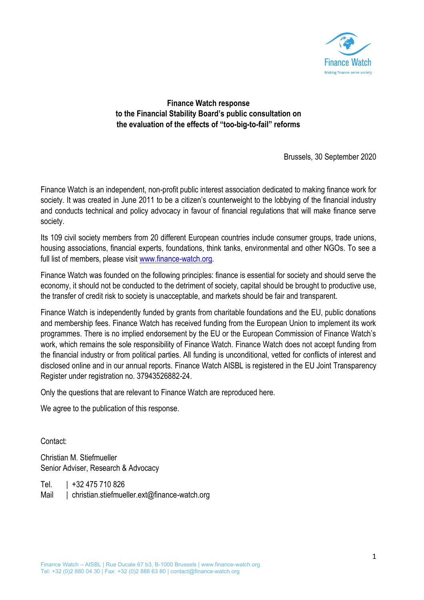

# **Finance Watch response to the Financial Stability Board's public consultation on the evaluation of the effects of "too-big-to-fail" reforms**

Brussels, 30 September 2020

Finance Watch is an independent, non-profit public interest association dedicated to making finance work for society. It was created in June 2011 to be a citizen's counterweight to the lobbying of the financial industry and conducts technical and policy advocacy in favour of financial regulations that will make finance serve society.

Its 109 civil society members from 20 different European countries include consumer groups, trade unions, housing associations, financial experts, foundations, think tanks, environmental and other NGOs. To see a full list of members, please visit [www.finance-watch.org.](http://www.finance-watch.org/)

Finance Watch was founded on the following principles: finance is essential for society and should serve the economy, it should not be conducted to the detriment of society, capital should be brought to productive use, the transfer of credit risk to society is unacceptable, and markets should be fair and transparent.

Finance Watch is independently funded by grants from charitable foundations and the EU, public donations and membership fees. Finance Watch has received funding from the European Union to implement its work programmes. There is no implied endorsement by the EU or the European Commission of Finance Watch's work, which remains the sole responsibility of Finance Watch. Finance Watch does not accept funding from the financial industry or from political parties. All funding is unconditional, vetted for conflicts of interest and disclosed online and in our annual reports. Finance Watch AISBL is registered in the EU Joint Transparency Register under registration no. 37943526882-24.

Only the questions that are relevant to Finance Watch are reproduced here.

We agree to the publication of this response.

Contact:

Christian M. Stiefmueller Senior Adviser, Research & Advocacy

Tel. | +32 475 710 826 Mail | christian.stiefmueller.ext@finance-watch.org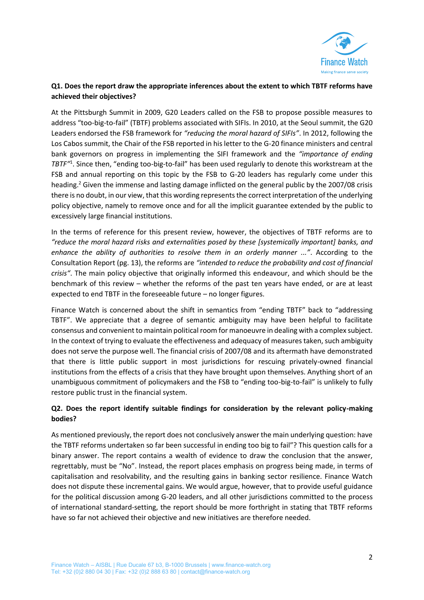

## **Q1. Does the report draw the appropriate inferences about the extent to which TBTF reforms have achieved their objectives?**

At the Pittsburgh Summit in 2009, G20 Leaders called on the FSB to propose possible measures to address "too-big-to-fail" (TBTF) problems associated with SIFIs. In 2010, at the Seoul summit, the G20 Leaders endorsed the FSB framework for *"reducing the moral hazard of SIFIs"*. In 2012, following the Los Cabos summit, the Chair of the FSB reported in his letter to the G-20 finance ministers and central bank governors on progress in implementing the SIFI framework and the *"importance of ending TBTF"*<sup>1</sup> . Since then, "ending too-big-to-fail" has been used regularly to denote this workstream at the FSB and annual reporting on this topic by the FSB to G-20 leaders has regularly come under this heading.<sup>2</sup> Given the immense and lasting damage inflicted on the general public by the 2007/08 crisis there is no doubt, in our view, that this wording represents the correct interpretation of the underlying policy objective, namely to remove once and for all the implicit guarantee extended by the public to excessively large financial institutions.

In the terms of reference for this present review, however, the objectives of TBTF reforms are to *"reduce the moral hazard risks and externalities posed by these [systemically important] banks, and enhance the ability of authorities to resolve them in an orderly manner ..."*. According to the Consultation Report (pg. 13), the reforms are *"intended to reduce the probability and cost of financial crisis"*. The main policy objective that originally informed this endeavour, and which should be the benchmark of this review – whether the reforms of the past ten years have ended, or are at least expected to end TBTF in the foreseeable future – no longer figures.

Finance Watch is concerned about the shift in semantics from "ending TBTF" back to "addressing TBTF". We appreciate that a degree of semantic ambiguity may have been helpful to facilitate consensus and convenient to maintain political room for manoeuvre in dealing with a complex subject. In the context of trying to evaluate the effectiveness and adequacy of measures taken, such ambiguity does not serve the purpose well. The financial crisis of 2007/08 and its aftermath have demonstrated that there is little public support in most jurisdictions for rescuing privately-owned financial institutions from the effects of a crisis that they have brought upon themselves. Anything short of an unambiguous commitment of policymakers and the FSB to "ending too-big-to-fail" is unlikely to fully restore public trust in the financial system.

## **Q2. Does the report identify suitable findings for consideration by the relevant policy-making bodies?**

As mentioned previously, the report does not conclusively answer the main underlying question: have the TBTF reforms undertaken so far been successful in ending too big to fail"? This question calls for a binary answer. The report contains a wealth of evidence to draw the conclusion that the answer, regrettably, must be "No". Instead, the report places emphasis on progress being made, in terms of capitalisation and resolvability, and the resulting gains in banking sector resilience. Finance Watch does not dispute these incremental gains. We would argue, however, that to provide useful guidance for the political discussion among G-20 leaders, and all other jurisdictions committed to the process of international standard-setting, the report should be more forthright in stating that TBTF reforms have so far not achieved their objective and new initiatives are therefore needed.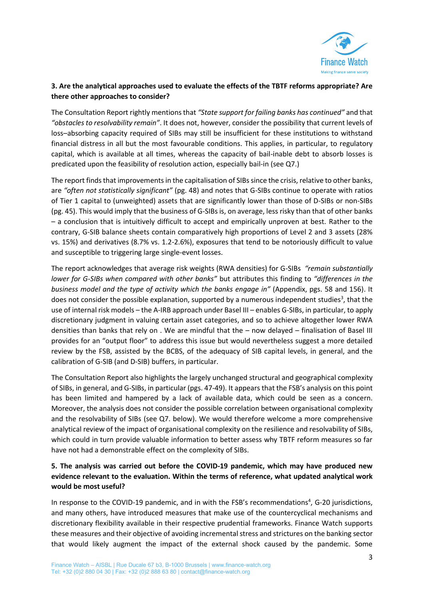

## **3. Are the analytical approaches used to evaluate the effects of the TBTF reforms appropriate? Are there other approaches to consider?**

The Consultation Report rightly mentions that *"State support for failing banks has continued"* and that *"obstacles to resolvability remain"*. It does not, however, consider the possibility that current levels of loss–absorbing capacity required of SIBs may still be insufficient for these institutions to withstand financial distress in all but the most favourable conditions. This applies, in particular, to regulatory capital, which is available at all times, whereas the capacity of bail-inable debt to absorb losses is predicated upon the feasibility of resolution action, especially bail-in (see Q7.)

The report finds that improvements in the capitalisation of SIBs since the crisis, relative to other banks, are *"often not statistically significant"* (pg. 48) and notes that G-SIBs continue to operate with ratios of Tier 1 capital to (unweighted) assets that are significantly lower than those of D-SIBs or non-SIBs (pg. 45). This would imply that the business of G-SIBs is, on average, less risky than that of other banks – a conclusion that is intuitively difficult to accept and empirically unproven at best. Rather to the contrary, G-SIB balance sheets contain comparatively high proportions of Level 2 and 3 assets (28% vs. 15%) and derivatives (8.7% vs. 1.2-2.6%), exposures that tend to be notoriously difficult to value and susceptible to triggering large single-event losses.

The report acknowledges that average risk weights (RWA densities) for G-SIBs *"remain substantially lower for G-SIBs when compared with other banks"* but attributes this finding to *"differences in the business model and the type of activity which the banks engage in"* (Appendix, pgs. 58 and 156). It does not consider the possible explanation, supported by a numerous independent studies<sup>3</sup>, that the use of internal risk models – the A-IRB approach under Basel III – enables G-SIBs, in particular, to apply discretionary judgment in valuing certain asset categories, and so to achieve altogether lower RWA densities than banks that rely on . We are mindful that the – now delayed – finalisation of Basel III provides for an "output floor" to address this issue but would nevertheless suggest a more detailed review by the FSB, assisted by the BCBS, of the adequacy of SIB capital levels, in general, and the calibration of G-SIB (and D-SIB) buffers, in particular.

The Consultation Report also highlights the largely unchanged structural and geographical complexity of SIBs, in general, and G-SIBs, in particular (pgs. 47-49). It appears that the FSB's analysis on this point has been limited and hampered by a lack of available data, which could be seen as a concern. Moreover, the analysis does not consider the possible correlation between organisational complexity and the resolvability of SIBs (see Q7. below). We would therefore welcome a more comprehensive analytical review of the impact of organisational complexity on the resilience and resolvability of SIBs, which could in turn provide valuable information to better assess why TBTF reform measures so far have not had a demonstrable effect on the complexity of SIBs.

## **5. The analysis was carried out before the COVID-19 pandemic, which may have produced new evidence relevant to the evaluation. Within the terms of reference, what updated analytical work would be most useful?**

In response to the COVID-19 pandemic, and in with the FSB's recommendations<sup>4</sup>, G-20 jurisdictions, and many others, have introduced measures that make use of the countercyclical mechanisms and discretionary flexibility available in their respective prudential frameworks. Finance Watch supports these measures and their objective of avoiding incremental stress and strictures on the banking sector that would likely augment the impact of the external shock caused by the pandemic. Some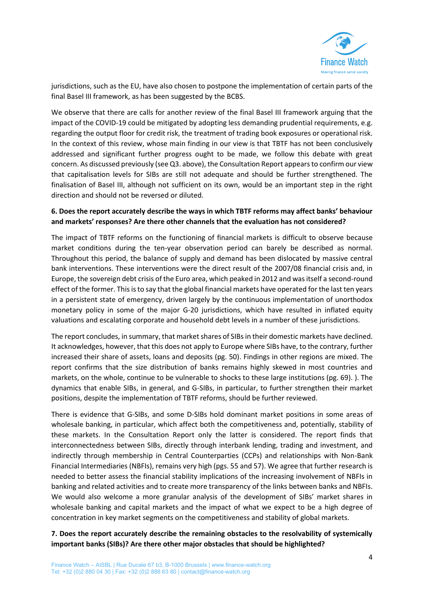

jurisdictions, such as the EU, have also chosen to postpone the implementation of certain parts of the final Basel III framework, as has been suggested by the BCBS.

We observe that there are calls for another review of the final Basel III framework arguing that the impact of the COVID-19 could be mitigated by adopting less demanding prudential requirements, e.g. regarding the output floor for credit risk, the treatment of trading book exposures or operational risk. In the context of this review, whose main finding in our view is that TBTF has not been conclusively addressed and significant further progress ought to be made, we follow this debate with great concern. As discussed previously (see Q3. above), the Consultation Report appears to confirm our view that capitalisation levels for SIBs are still not adequate and should be further strengthened. The finalisation of Basel III, although not sufficient on its own, would be an important step in the right direction and should not be reversed or diluted.

## **6. Does the report accurately describe the ways in which TBTF reforms may affect banks' behaviour and markets' responses? Are there other channels that the evaluation has not considered?**

The impact of TBTF reforms on the functioning of financial markets is difficult to observe because market conditions during the ten-year observation period can barely be described as normal. Throughout this period, the balance of supply and demand has been dislocated by massive central bank interventions. These interventions were the direct result of the 2007/08 financial crisis and, in Europe, the sovereign debt crisis of the Euro area, which peaked in 2012 and was itself a second-round effect of the former. This is to say that the global financial markets have operated for the last ten years in a persistent state of emergency, driven largely by the continuous implementation of unorthodox monetary policy in some of the major G-20 jurisdictions, which have resulted in inflated equity valuations and escalating corporate and household debt levels in a number of these jurisdictions.

The report concludes, in summary, that market shares of SIBs in their domestic markets have declined. It acknowledges, however, that this does not apply to Europe where SIBs have, to the contrary, further increased their share of assets, loans and deposits (pg. 50). Findings in other regions are mixed. The report confirms that the size distribution of banks remains highly skewed in most countries and markets, on the whole, continue to be vulnerable to shocks to these large institutions (pg. 69). ). The dynamics that enable SIBs, in general, and G-SIBs, in particular, to further strengthen their market positions, despite the implementation of TBTF reforms, should be further reviewed.

There is evidence that G-SIBs, and some D-SIBs hold dominant market positions in some areas of wholesale banking, in particular, which affect both the competitiveness and, potentially, stability of these markets. In the Consultation Report only the latter is considered. The report finds that interconnectedness between SIBs, directly through interbank lending, trading and investment, and indirectly through membership in Central Counterparties (CCPs) and relationships with Non-Bank Financial Intermediaries (NBFIs), remains very high (pgs. 55 and 57). We agree that further research is needed to better assess the financial stability implications of the increasing involvement of NBFIs in banking and related activities and to create more transparency of the links between banks and NBFIs. We would also welcome a more granular analysis of the development of SIBs' market shares in wholesale banking and capital markets and the impact of what we expect to be a high degree of concentration in key market segments on the competitiveness and stability of global markets.

## **7. Does the report accurately describe the remaining obstacles to the resolvability of systemically important banks (SIBs)? Are there other major obstacles that should be highlighted?**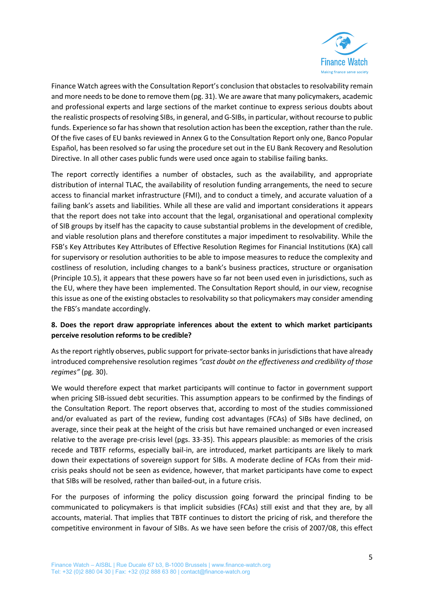

Finance Watch agrees with the Consultation Report's conclusion that obstacles to resolvability remain and more needs to be done to remove them (pg. 31). We are aware that many policymakers, academic and professional experts and large sections of the market continue to express serious doubts about the realistic prospects of resolving SIBs, in general, and G-SIBs, in particular, without recourse to public funds. Experience so far has shown that resolution action has been the exception, rather than the rule. Of the five cases of EU banks reviewed in Annex G to the Consultation Report only one, Banco Popular Español, has been resolved so far using the procedure set out in the EU Bank Recovery and Resolution Directive. In all other cases public funds were used once again to stabilise failing banks.

The report correctly identifies a number of obstacles, such as the availability, and appropriate distribution of internal TLAC, the availability of resolution funding arrangements, the need to secure access to financial market infrastructure (FMI), and to conduct a timely, and accurate valuation of a failing bank's assets and liabilities. While all these are valid and important considerations it appears that the report does not take into account that the legal, organisational and operational complexity of SIB groups by itself has the capacity to cause substantial problems in the development of credible, and viable resolution plans and therefore constitutes a major impediment to resolvability. While the FSB's Key Attributes Key Attributes of Effective Resolution Regimes for Financial Institutions (KA) call for supervisory or resolution authorities to be able to impose measures to reduce the complexity and costliness of resolution, including changes to a bank's business practices, structure or organisation (Principle 10.5), it appears that these powers have so far not been used even in jurisdictions, such as the EU, where they have been implemented. The Consultation Report should, in our view, recognise this issue as one of the existing obstacles to resolvability so that policymakers may consider amending the FBS's mandate accordingly.

## **8. Does the report draw appropriate inferences about the extent to which market participants perceive resolution reforms to be credible?**

As the report rightly observes, public support for private-sector banks in jurisdictions that have already introduced comprehensive resolution regimes *"cast doubt on the effectiveness and credibility of those regimes"* (pg. 30).

We would therefore expect that market participants will continue to factor in government support when pricing SIB-issued debt securities. This assumption appears to be confirmed by the findings of the Consultation Report. The report observes that, according to most of the studies commissioned and/or evaluated as part of the review, funding cost advantages (FCAs) of SIBs have declined, on average, since their peak at the height of the crisis but have remained unchanged or even increased relative to the average pre-crisis level (pgs. 33-35). This appears plausible: as memories of the crisis recede and TBTF reforms, especially bail-in, are introduced, market participants are likely to mark down their expectations of sovereign support for SIBs. A moderate decline of FCAs from their midcrisis peaks should not be seen as evidence, however, that market participants have come to expect that SIBs will be resolved, rather than bailed-out, in a future crisis.

For the purposes of informing the policy discussion going forward the principal finding to be communicated to policymakers is that implicit subsidies (FCAs) still exist and that they are, by all accounts, material. That implies that TBTF continues to distort the pricing of risk, and therefore the competitive environment in favour of SIBs. As we have seen before the crisis of 2007/08, this effect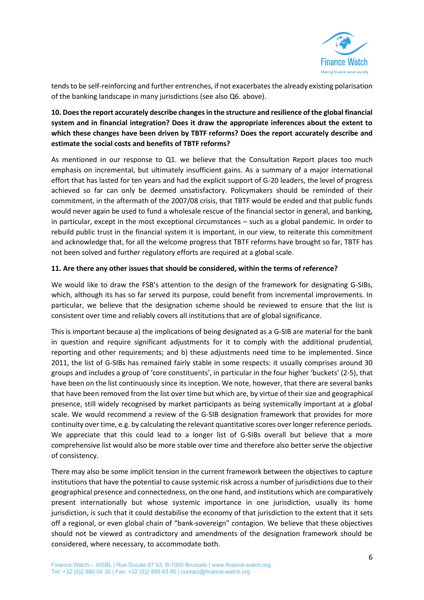

tends to be self-reinforcing and further entrenches, if not exacerbates the already existing polarisation of the banking landscape in many jurisdictions (see also Q6. above).

## **10. Does the report accurately describe changes in the structure and resilience of the global financial system and in financial integration? Does it draw the appropriate inferences about the extent to which these changes have been driven by TBTF reforms? Does the report accurately describe and estimate the social costs and benefits of TBTF reforms?**

As mentioned in our response to Q1. we believe that the Consultation Report places too much emphasis on incremental, but ultimately insufficient gains. As a summary of a major international effort that has lasted for ten years and had the explicit support of G-20 leaders, the level of progress achieved so far can only be deemed unsatisfactory. Policymakers should be reminded of their commitment, in the aftermath of the 2007/08 crisis, that TBTF would be ended and that public funds would never again be used to fund a wholesale rescue of the financial sector in general, and banking, in particular, except in the most exceptional circumstances – such as a global pandemic. In order to rebuild public trust in the financial system it is important, in our view, to reiterate this commitment and acknowledge that, for all the welcome progress that TBTF reforms have brought so far, TBTF has not been solved and further regulatory efforts are required at a global scale.

#### **11. Are there any other issues that should be considered, within the terms of reference?**

We would like to draw the FSB's attention to the design of the framework for designating G-SIBs, which, although its has so far served its purpose, could benefit from incremental improvements. In particular, we believe that the designation scheme should be reviewed to ensure that the list is consistent over time and reliably covers all institutions that are of global significance.

This is important because a) the implications of being designated as a G-SIB are material for the bank in question and require significant adjustments for it to comply with the additional prudential, reporting and other requirements; and b) these adjustments need time to be implemented. Since 2011, the list of G-SIBs has remained fairly stable in some respects: it usually comprises around 30 groups and includes a group of 'core constituents', in particular in the four higher 'buckets' (2-5), that have been on the list continuously since its inception. We note, however, that there are several banks that have been removed from the list over time but which are, by virtue of their size and geographical presence, still widely recognised by market participants as being systemically important at a global scale. We would recommend a review of the G-SIB designation framework that provides for more continuity over time, e.g. by calculating the relevant quantitative scores over longer reference periods. We appreciate that this could lead to a longer list of G-SIBs overall but believe that a more comprehensive list would also be more stable over time and therefore also better serve the objective of consistency.

There may also be some implicit tension in the current framework between the objectives to capture institutions that have the potential to cause systemic risk across a number of jurisdictions due to their geographical presence and connectedness, on the one hand, and institutions which are comparatively present internationally but whose systemic importance in one jurisdiction, usually its home jurisdiction, is such that it could destabilise the economy of that jurisdiction to the extent that it sets off a regional, or even global chain of "bank-sovereign" contagion. We believe that these objectives should not be viewed as contradictory and amendments of the designation framework should be considered, where necessary, to accommodate both.